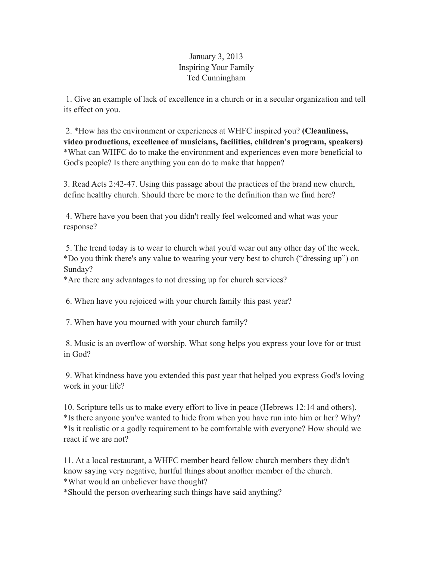## January 3, 2013 Inspiring Your Family Ted Cunningham

 1. Give an example of lack of excellence in a church or in a secular organization and tell its effect on you.

 2. \*How has the environment or experiences at WHFC inspired you? **(Cleanliness, video productions, excellence of musicians, facilities, children's program, speakers)** \*What can WHFC do to make the environment and experiences even more beneficial to God's people? Is there anything you can do to make that happen?

3. Read Acts 2:42-47. Using this passage about the practices of the brand new church, define healthy church. Should there be more to the definition than we find here?

 4. Where have you been that you didn't really feel welcomed and what was your response?

 5. The trend today is to wear to church what you'd wear out any other day of the week. \*Do you think there's any value to wearing your very best to church ("dressing up") on Sunday?

\*Are there any advantages to not dressing up for church services?

6. When have you rejoiced with your church family this past year?

7. When have you mourned with your church family?

 8. Music is an overflow of worship. What song helps you express your love for or trust in God?

 9. What kindness have you extended this past year that helped you express God's loving work in your life?

10. Scripture tells us to make every effort to live in peace (Hebrews 12:14 and others). \*Is there anyone you've wanted to hide from when you have run into him or her? Why? \*Is it realistic or a godly requirement to be comfortable with everyone? How should we react if we are not?

11. At a local restaurant, a WHFC member heard fellow church members they didn't know saying very negative, hurtful things about another member of the church. \*What would an unbeliever have thought?

\*Should the person overhearing such things have said anything?